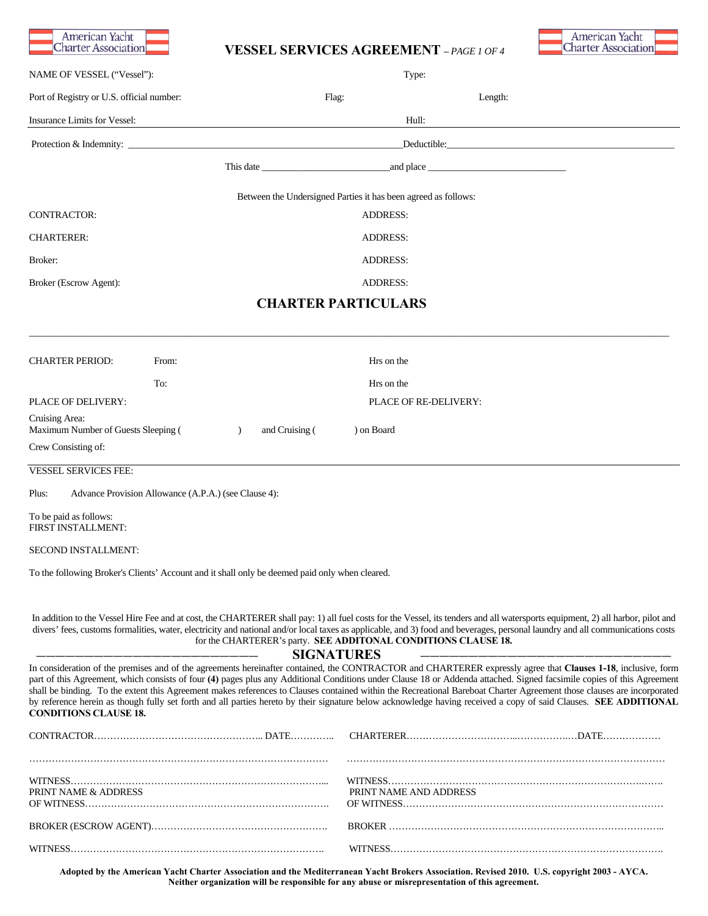

# **VESSEL SERVICES AGREEMENT –** *PAGE 1 OF 4*



|                                                                              |                                                                                                | SEIN LUES AUNEEMENT -TAGE LOT                                  |                                                                                                                                                                                                                                                                                                                                                                                                                                                                                                                                                                                                                                                                                       |  |  |
|------------------------------------------------------------------------------|------------------------------------------------------------------------------------------------|----------------------------------------------------------------|---------------------------------------------------------------------------------------------------------------------------------------------------------------------------------------------------------------------------------------------------------------------------------------------------------------------------------------------------------------------------------------------------------------------------------------------------------------------------------------------------------------------------------------------------------------------------------------------------------------------------------------------------------------------------------------|--|--|
| NAME OF VESSEL ("Vessel"):                                                   |                                                                                                | Type:                                                          |                                                                                                                                                                                                                                                                                                                                                                                                                                                                                                                                                                                                                                                                                       |  |  |
| Port of Registry or U.S. official number:                                    |                                                                                                | Flag:                                                          | Length:                                                                                                                                                                                                                                                                                                                                                                                                                                                                                                                                                                                                                                                                               |  |  |
| Insurance Limits for Vessel:                                                 |                                                                                                | Hull:                                                          |                                                                                                                                                                                                                                                                                                                                                                                                                                                                                                                                                                                                                                                                                       |  |  |
|                                                                              |                                                                                                | Deductible:                                                    |                                                                                                                                                                                                                                                                                                                                                                                                                                                                                                                                                                                                                                                                                       |  |  |
|                                                                              |                                                                                                |                                                                |                                                                                                                                                                                                                                                                                                                                                                                                                                                                                                                                                                                                                                                                                       |  |  |
|                                                                              |                                                                                                | Between the Undersigned Parties it has been agreed as follows: |                                                                                                                                                                                                                                                                                                                                                                                                                                                                                                                                                                                                                                                                                       |  |  |
| <b>CONTRACTOR:</b>                                                           |                                                                                                | <b>ADDRESS:</b>                                                |                                                                                                                                                                                                                                                                                                                                                                                                                                                                                                                                                                                                                                                                                       |  |  |
| <b>CHARTERER:</b>                                                            |                                                                                                | <b>ADDRESS:</b>                                                |                                                                                                                                                                                                                                                                                                                                                                                                                                                                                                                                                                                                                                                                                       |  |  |
| Broker:                                                                      |                                                                                                | <b>ADDRESS:</b>                                                |                                                                                                                                                                                                                                                                                                                                                                                                                                                                                                                                                                                                                                                                                       |  |  |
| Broker (Escrow Agent):                                                       |                                                                                                | <b>ADDRESS:</b>                                                |                                                                                                                                                                                                                                                                                                                                                                                                                                                                                                                                                                                                                                                                                       |  |  |
|                                                                              |                                                                                                | <b>CHARTER PARTICULARS</b>                                     |                                                                                                                                                                                                                                                                                                                                                                                                                                                                                                                                                                                                                                                                                       |  |  |
| <b>CHARTER PERIOD:</b>                                                       | From:                                                                                          | Hrs on the                                                     |                                                                                                                                                                                                                                                                                                                                                                                                                                                                                                                                                                                                                                                                                       |  |  |
|                                                                              | To:                                                                                            | Hrs on the                                                     |                                                                                                                                                                                                                                                                                                                                                                                                                                                                                                                                                                                                                                                                                       |  |  |
| PLACE OF DELIVERY:                                                           |                                                                                                |                                                                | PLACE OF RE-DELIVERY:                                                                                                                                                                                                                                                                                                                                                                                                                                                                                                                                                                                                                                                                 |  |  |
| Cruising Area:<br>Maximum Number of Guests Sleeping (<br>Crew Consisting of: | and Cruising (<br>$\lambda$                                                                    | ) on Board                                                     |                                                                                                                                                                                                                                                                                                                                                                                                                                                                                                                                                                                                                                                                                       |  |  |
| <b>VESSEL SERVICES FEE:</b>                                                  |                                                                                                |                                                                |                                                                                                                                                                                                                                                                                                                                                                                                                                                                                                                                                                                                                                                                                       |  |  |
| Plus:                                                                        | Advance Provision Allowance (A.P.A.) (see Clause 4):                                           |                                                                |                                                                                                                                                                                                                                                                                                                                                                                                                                                                                                                                                                                                                                                                                       |  |  |
| To be paid as follows:<br>FIRST INSTALLMENT:                                 |                                                                                                |                                                                |                                                                                                                                                                                                                                                                                                                                                                                                                                                                                                                                                                                                                                                                                       |  |  |
| SECOND INSTALLMENT:                                                          |                                                                                                |                                                                |                                                                                                                                                                                                                                                                                                                                                                                                                                                                                                                                                                                                                                                                                       |  |  |
|                                                                              | To the following Broker's Clients' Account and it shall only be deemed paid only when cleared. |                                                                |                                                                                                                                                                                                                                                                                                                                                                                                                                                                                                                                                                                                                                                                                       |  |  |
|                                                                              | for the CHARTERER's party. SEE ADDITONAL CONDITIONS CLAUSE 18.                                 | <b>SIGNATURES</b>                                              | In addition to the Vessel Hire Fee and at cost, the CHARTERER shall pay: 1) all fuel costs for the Vessel, its tenders and all watersports equipment, 2) all harbor, pilot and<br>divers' fees, customs formalities, water, electricity and national and/or local taxes as applicable, and 3) food and beverages, personal laundry and all communications costs                                                                                                                                                                                                                                                                                                                       |  |  |
| <b>CONDITIONS CLAUSE 18.</b>                                                 |                                                                                                |                                                                | In consideration of the premises and of the agreements hereinafter contained, the CONTRACTOR and CHARTERER expressly agree that Clauses 1-18, inclusive, form<br>part of this Agreement, which consists of four (4) pages plus any Additional Conditions under Clause 18 or Addenda attached. Signed facsimile copies of this Agreement<br>shall be binding. To the extent this Agreement makes references to Clauses contained within the Recreational Bareboat Charter Agreement those clauses are incorporated<br>by reference herein as though fully set forth and all parties hereto by their signature below acknowledge having received a copy of said Clauses. SEE ADDITIONAL |  |  |
|                                                                              |                                                                                                |                                                                |                                                                                                                                                                                                                                                                                                                                                                                                                                                                                                                                                                                                                                                                                       |  |  |
| PRINT NAME & ADDRESS                                                         |                                                                                                |                                                                | PRINT NAME AND ADDRESS                                                                                                                                                                                                                                                                                                                                                                                                                                                                                                                                                                                                                                                                |  |  |
|                                                                              |                                                                                                |                                                                |                                                                                                                                                                                                                                                                                                                                                                                                                                                                                                                                                                                                                                                                                       |  |  |

**Adopted by the American Yacht Charter Association and the Mediterranean Yacht Brokers Association. Revised 2010. U.S. copyright 2003 - AYCA. Neither organization will be responsible for any abuse or misrepresentation of this agreement.** 

WITNESS……………………………………………………………………. WITNESS………………………………………………………………………….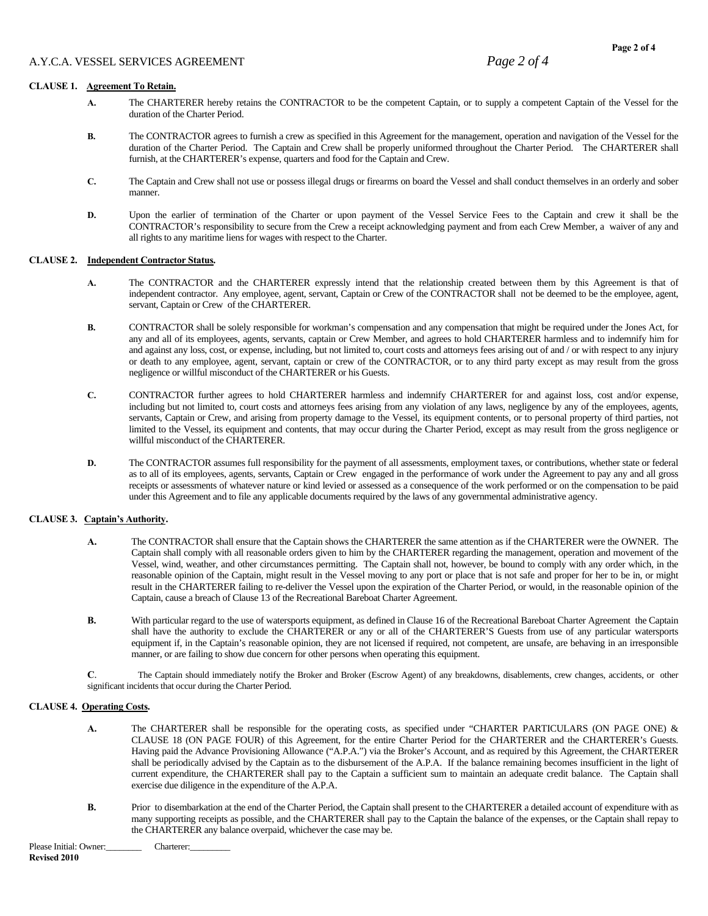- **A.** The CHARTERER hereby retains the CONTRACTOR to be the competent Captain, or to supply a competent Captain of the Vessel for the duration of the Charter Period.
- **B.** The CONTRACTOR agrees to furnish a crew as specified in this Agreement for the management, operation and navigation of the Vessel for the duration of the Charter Period. The Captain and Crew shall be properly uniformed throughout the Charter Period. The CHARTERER shall furnish, at the CHARTERER's expense, quarters and food for the Captain and Crew.
- **C.** The Captain and Crew shall not use or possess illegal drugs or firearms on board the Vessel and shall conduct themselves in an orderly and sober manner.
- **D.** Upon the earlier of termination of the Charter or upon payment of the Vessel Service Fees to the Captain and crew it shall be the CONTRACTOR's responsibility to secure from the Crew a receipt acknowledging payment and from each Crew Member, a waiver of any and all rights to any maritime liens for wages with respect to the Charter.

## **CLAUSE 2. Independent Contractor Status.**

- **A.** The CONTRACTOR and the CHARTERER expressly intend that the relationship created between them by this Agreement is that of independent contractor. Any employee, agent, servant, Captain or Crew of the CONTRACTOR shall not be deemed to be the employee, agent, servant, Captain or Crew of the CHARTERER.
- **B.** CONTRACTOR shall be solely responsible for workman's compensation and any compensation that might be required under the Jones Act, for any and all of its employees, agents, servants, captain or Crew Member, and agrees to hold CHARTERER harmless and to indemnify him for and against any loss, cost, or expense, including, but not limited to, court costs and attorneys fees arising out of and / or with respect to any injury or death to any employee, agent, servant, captain or crew of the CONTRACTOR, or to any third party except as may result from the gross negligence or willful misconduct of the CHARTERER or his Guests.
- **C.** CONTRACTOR further agrees to hold CHARTERER harmless and indemnify CHARTERER for and against loss, cost and/or expense, including but not limited to, court costs and attorneys fees arising from any violation of any laws, negligence by any of the employees, agents, servants, Captain or Crew, and arising from property damage to the Vessel, its equipment contents, or to personal property of third parties, not limited to the Vessel, its equipment and contents, that may occur during the Charter Period, except as may result from the gross negligence or willful misconduct of the CHARTERER.
- **D.** The CONTRACTOR assumes full responsibility for the payment of all assessments, employment taxes, or contributions, whether state or federal as to all of its employees, agents, servants, Captain or Crew engaged in the performance of work under the Agreement to pay any and all gross receipts or assessments of whatever nature or kind levied or assessed as a consequence of the work performed or on the compensation to be paid under this Agreement and to file any applicable documents required by the laws of any governmental administrative agency.

## **CLAUSE 3. Captain's Authority.**

- **A.** The CONTRACTOR shall ensure that the Captain shows the CHARTERER the same attention as if the CHARTERER were the OWNER. The Captain shall comply with all reasonable orders given to him by the CHARTERER regarding the management, operation and movement of the Vessel, wind, weather, and other circumstances permitting. The Captain shall not, however, be bound to comply with any order which, in the reasonable opinion of the Captain, might result in the Vessel moving to any port or place that is not safe and proper for her to be in, or might result in the CHARTERER failing to re-deliver the Vessel upon the expiration of the Charter Period, or would, in the reasonable opinion of the Captain, cause a breach of Clause 13 of the Recreational Bareboat Charter Agreement.
- **B.** With particular regard to the use of watersports equipment, as defined in Clause 16 of the Recreational Bareboat Charter Agreement the Captain shall have the authority to exclude the CHARTERER or any or all of the CHARTERER'S Guests from use of any particular watersports equipment if, in the Captain's reasonable opinion, they are not licensed if required, not competent, are unsafe, are behaving in an irresponsible manner, or are failing to show due concern for other persons when operating this equipment.
- **C**. The Captain should immediately notify the Broker and Broker (Escrow Agent) of any breakdowns, disablements, crew changes, accidents, or other significant incidents that occur during the Charter Period.

## **CLAUSE 4. Operating Costs.**

- **A.** The CHARTERER shall be responsible for the operating costs, as specified under "CHARTER PARTICULARS (ON PAGE ONE) & CLAUSE 18 (ON PAGE FOUR) of this Agreement, for the entire Charter Period for the CHARTERER and the CHARTERER's Guests. Having paid the Advance Provisioning Allowance ("A.P.A.") via the Broker's Account, and as required by this Agreement, the CHARTERER shall be periodically advised by the Captain as to the disbursement of the A.P.A. If the balance remaining becomes insufficient in the light of current expenditure, the CHARTERER shall pay to the Captain a sufficient sum to maintain an adequate credit balance. The Captain shall exercise due diligence in the expenditure of the A.P.A.
- **B.** Prior to disembarkation at the end of the Charter Period, the Captain shall present to the CHARTERER a detailed account of expenditure with as many supporting receipts as possible, and the CHARTERER shall pay to the Captain the balance of the expenses, or the Captain shall repay to the CHARTERER any balance overpaid, whichever the case may be.

Please Initial: Owner: Charterer: **Revised 2010**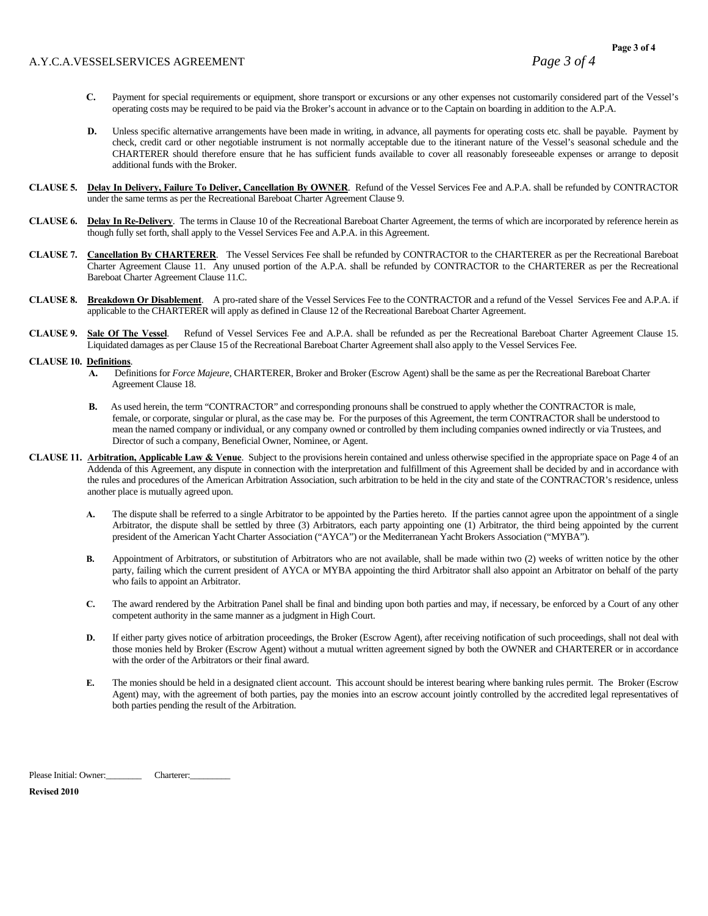## A.Y.C.A.VESSELSERVICES AGREEMENT *Page 3 of 4*

- **C.** Payment for special requirements or equipment, shore transport or excursions or any other expenses not customarily considered part of the Vessel's operating costs may be required to be paid via the Broker's account in advance or to the Captain on boarding in addition to the A.P.A.
- **D.** Unless specific alternative arrangements have been made in writing, in advance, all payments for operating costs etc. shall be payable. Payment by check, credit card or other negotiable instrument is not normally acceptable due to the itinerant nature of the Vessel's seasonal schedule and the CHARTERER should therefore ensure that he has sufficient funds available to cover all reasonably foreseeable expenses or arrange to deposit additional funds with the Broker.
- **CLAUSE 5. Delay In Delivery, Failure To Deliver, Cancellation By OWNER**.Refund of the Vessel Services Fee and A.P.A. shall be refunded by CONTRACTOR under the same terms as per the Recreational Bareboat Charter Agreement Clause 9.
- **CLAUSE 6. Delay In Re-Delivery**. The terms in Clause 10 of the Recreational Bareboat Charter Agreement, the terms of which are incorporated by reference herein as though fully set forth, shall apply to the Vessel Services Fee and A.P.A. in this Agreement.
- **CLAUSE 7. Cancellation By CHARTERER**. The Vessel Services Fee shall be refunded by CONTRACTOR to the CHARTERER as per the Recreational Bareboat Charter Agreement Clause 11. Any unused portion of the A.P.A. shall be refunded by CONTRACTOR to the CHARTERER as per the Recreational Bareboat Charter Agreement Clause 11.C.
- **CLAUSE 8. Breakdown Or Disablement**. A pro-rated share of the Vessel Services Fee to the CONTRACTOR and a refund of the Vessel Services Fee and A.P.A. if applicable to the CHARTERER will apply as defined in Clause 12 of the Recreational Bareboat Charter Agreement.
- **CLAUSE 9. Sale Of The Vessel**. Refund of Vessel Services Fee and A.P.A. shall be refunded as per the Recreational Bareboat Charter Agreement Clause 15. Liquidated damages as per Clause 15 of the Recreational Bareboat Charter Agreement shall also apply to the Vessel Services Fee.

#### **CLAUSE 10. Definitions**.

- **A.** Definitions for *Force Majeure*, CHARTERER, Broker and Broker (Escrow Agent) shall be the same as per the Recreational Bareboat Charter Agreement Clause 18.
- **B.** As used herein, the term "CONTRACTOR" and corresponding pronouns shall be construed to apply whether the CONTRACTOR is male, female, or corporate, singular or plural, as the case may be. For the purposes of this Agreement, the term CONTRACTOR shall be understood to mean the named company or individual, or any company owned or controlled by them including companies owned indirectly or via Trustees, and Director of such a company, Beneficial Owner, Nominee, or Agent.
- **CLAUSE 11. Arbitration, Applicable Law & Venue**. Subject to the provisions herein contained and unless otherwise specified in the appropriate space on Page 4 of an Addenda of this Agreement, any dispute in connection with the interpretation and fulfillment of this Agreement shall be decided by and in accordance with the rules and procedures of the American Arbitration Association, such arbitration to be held in the city and state of the CONTRACTOR's residence, unless another place is mutually agreed upon.
	- **A.** The dispute shall be referred to a single Arbitrator to be appointed by the Parties hereto. If the parties cannot agree upon the appointment of a single Arbitrator, the dispute shall be settled by three (3) Arbitrators, each party appointing one (1) Arbitrator, the third being appointed by the current president of the American Yacht Charter Association ("AYCA") or the Mediterranean Yacht Brokers Association ("MYBA").
	- **B.** Appointment of Arbitrators, or substitution of Arbitrators who are not available, shall be made within two (2) weeks of written notice by the other party, failing which the current president of AYCA or MYBA appointing the third Arbitrator shall also appoint an Arbitrator on behalf of the party who fails to appoint an Arbitrator.
	- **C.** The award rendered by the Arbitration Panel shall be final and binding upon both parties and may, if necessary, be enforced by a Court of any other competent authority in the same manner as a judgment in High Court.
	- **D.** If either party gives notice of arbitration proceedings, the Broker (Escrow Agent), after receiving notification of such proceedings, shall not deal with those monies held by Broker (Escrow Agent) without a mutual written agreement signed by both the OWNER and CHARTERER or in accordance with the order of the Arbitrators or their final award.
	- **E.** The monies should be held in a designated client account. This account should be interest bearing where banking rules permit. The Broker (Escrow Agent) may, with the agreement of both parties, pay the monies into an escrow account jointly controlled by the accredited legal representatives of both parties pending the result of the Arbitration.

Please Initial: Owner: Charterer:

**Revised 2010**